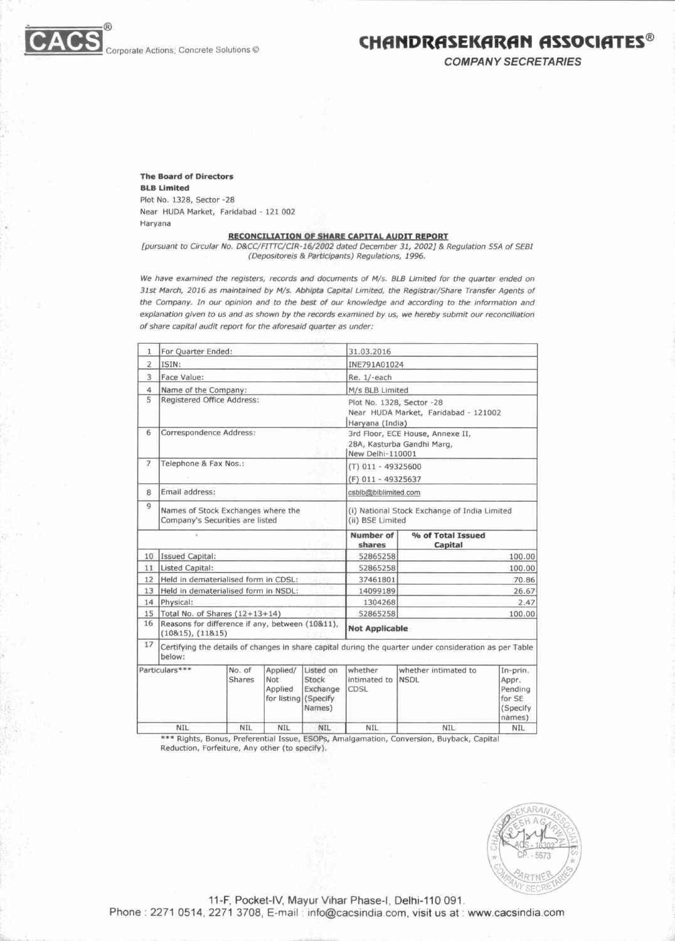

**COMPANY SECRETARIES** 

**The Board of Directors BLB Limited**  Plot No. 1328, Sector -28 Near HUDA Market, Faridabad - 121 002 Haryana

## **RECONCILIATION OF SHARE CAPITAL AUDIT REPORT**

[pursuant to Circular No. D&CC/F177C/CIR-16/2002 dated December 31, 2002] & Regulation 55A of SEBI (Depositoreis & Participants) Regulations, 1996.

We have examined the registers, records and documents of M/s. BLB Limited for the quarter ended on 31st March, 2016 as maintained by M/s. Abhipta Capital Limited, the Registrar/Share Transfer Agents of the Company. In our opinion and to the best of our knowledge and according to the information and explanation given to us and as shown by the records examined by us, we hereby submit our reconciliation of share capital audit report for the aforesaid quarter as under:

| 1              |                                                                       | For Quarter Ended:<br>31.03.2016 |                                                           |                                                                  |                                                                                                        |                                                                   |                                                               |  |  |
|----------------|-----------------------------------------------------------------------|----------------------------------|-----------------------------------------------------------|------------------------------------------------------------------|--------------------------------------------------------------------------------------------------------|-------------------------------------------------------------------|---------------------------------------------------------------|--|--|
| 2              | ISIN:                                                                 |                                  |                                                           |                                                                  | INE791A01024                                                                                           |                                                                   |                                                               |  |  |
| 3              | Face Value:                                                           |                                  |                                                           |                                                                  | Re. 1/-each                                                                                            |                                                                   |                                                               |  |  |
| $\overline{4}$ | Name of the Company:                                                  |                                  |                                                           |                                                                  | M/s BLB Limited                                                                                        |                                                                   |                                                               |  |  |
| 5              | Registered Office Address:                                            |                                  |                                                           |                                                                  | Haryana (India)                                                                                        | Plot No. 1328, Sector -28<br>Near HUDA Market, Faridabad - 121002 |                                                               |  |  |
| 6              | Correspondence Address:                                               |                                  |                                                           |                                                                  | 3rd Floor, ECE House, Annexe II,<br>28A, Kasturba Gandhi Marg,<br>New Delhi-110001                     |                                                                   |                                                               |  |  |
| $\overline{7}$ | Telephone & Fax Nos.:                                                 |                                  |                                                           |                                                                  | (T) 011 - 49325600                                                                                     |                                                                   |                                                               |  |  |
|                |                                                                       |                                  |                                                           |                                                                  | (F) 011 - 49325637                                                                                     |                                                                   |                                                               |  |  |
| 8              | Email address:                                                        |                                  |                                                           |                                                                  | csblb@blblimited.com                                                                                   |                                                                   |                                                               |  |  |
| $\overline{9}$ | Names of Stock Exchanges where the<br>Company's Securities are listed |                                  |                                                           | (i) National Stock Exchange of India Limited<br>(ii) BSE Limited |                                                                                                        |                                                                   |                                                               |  |  |
|                |                                                                       |                                  |                                                           |                                                                  | Number of<br>shares                                                                                    | % of Total Issued<br>Capital                                      |                                                               |  |  |
| 10             | <b>Issued Capital:</b>                                                |                                  |                                                           |                                                                  | 52865258                                                                                               |                                                                   | 100.00                                                        |  |  |
| 11             | Listed Capital:                                                       |                                  |                                                           |                                                                  | 52865258                                                                                               |                                                                   | 100.00                                                        |  |  |
| 12             | Held in dematerialised form in CDSL:                                  |                                  |                                                           |                                                                  | 37461801                                                                                               | 70.86                                                             |                                                               |  |  |
| 13             | Held in dematerialised form in NSDL:                                  |                                  |                                                           | 14099189                                                         | 26.67                                                                                                  |                                                                   |                                                               |  |  |
| 14             | Physical:                                                             | 1304268                          |                                                           |                                                                  |                                                                                                        | 2.47                                                              |                                                               |  |  |
| 15             | Total No. of Shares $(12+13+14)$                                      |                                  |                                                           |                                                                  | 52865258                                                                                               |                                                                   | 100.00                                                        |  |  |
| 16             | Reasons for difference if any, between (10&11),<br>(10815), (11815)   |                                  |                                                           |                                                                  | <b>Not Applicable</b>                                                                                  |                                                                   |                                                               |  |  |
| 17             | below:                                                                |                                  |                                                           |                                                                  | Certifying the details of changes in share capital during the quarter under consideration as per Table |                                                                   |                                                               |  |  |
|                | Particulars***                                                        | No. of<br>Shares                 | Applied/<br><b>Not</b><br>Applied<br>for listing (Specify | Listed on<br>Stock<br>Exchange<br>Names)                         | whether<br>intimated to<br><b>CDSL</b>                                                                 | whether intimated to<br><b>NSDL</b>                               | In-prin.<br>Appr.<br>Pending<br>for SE<br>(Specify)<br>names) |  |  |
|                | <b>NIL</b>                                                            | <b>NIL</b>                       | <b>NIL</b>                                                | <b>NIL</b>                                                       | <b>NIL</b>                                                                                             | <b>NIL</b>                                                        | <b>NIL</b>                                                    |  |  |

\*\*\* Rights, Bonus, Preferential Issue, ESOPs, Amalgamation, Conversion, Buyback, Capital Reduction, Forfeiture, Any other (to specify).



11-F, Pocket-IV, Mayur Vihar Phase-I, Delhi-110 091. Phone : 2271 0514, 2271 3708, E-mail : info@cacsindia.com, visit us at : www.cacsindia.com